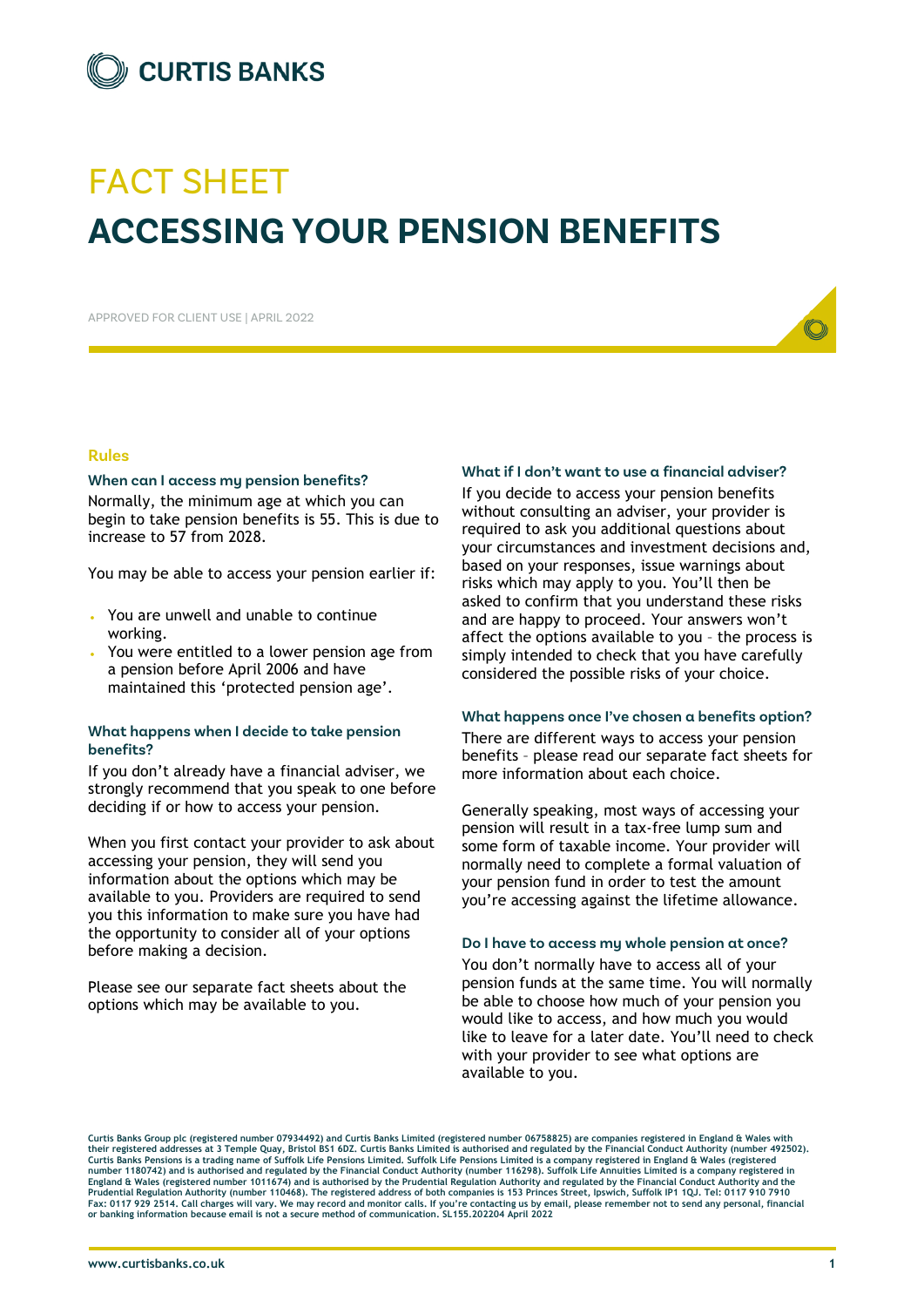

# FACT SHEET **ACCESSING YOUR PENSION BENEFITS**

APPROVED FOR CLIENT USE | APRIL 2022

#### **Rules**

#### **When can I access my pension benefits?**

Normally, the minimum age at which you can begin to take pension benefits is 55. This is due to increase to 57 from 2028.

You may be able to access your pension earlier if:

- You are unwell and unable to continue working.
- You were entitled to a lower pension age from a pension before April 2006 and have maintained this 'protected pension age'.

#### **What happens when I decide to take pension benefits?**

If you don't already have a financial adviser, we strongly recommend that you speak to one before deciding if or how to access your pension.

When you first contact your provider to ask about accessing your pension, they will send you information about the options which may be available to you. Providers are required to send you this information to make sure you have had the opportunity to consider all of your options before making a decision.

Please see our separate fact sheets about the options which may be available to you.

#### **What if I don't want to use a financial adviser?**

If you decide to access your pension benefits without consulting an adviser, your provider is required to ask you additional questions about your circumstances and investment decisions and, based on your responses, issue warnings about risks which may apply to you. You'll then be asked to confirm that you understand these risks and are happy to proceed. Your answers won't affect the options available to you – the process is simply intended to check that you have carefully considered the possible risks of your choice.

#### **What happens once I've chosen a benefits option?**

There are different ways to access your pension benefits – please read our separate fact sheets for more information about each choice.

Generally speaking, most ways of accessing your pension will result in a tax-free lump sum and some form of taxable income. Your provider will normally need to complete a formal valuation of your pension fund in order to test the amount you're accessing against the lifetime allowance.

#### **Do I have to access my whole pension at once?**

You don't normally have to access all of your pension funds at the same time. You will normally be able to choose how much of your pension you would like to access, and how much you would like to leave for a later date. You'll need to check with your provider to see what options are available to you.

**Curtis Banks Group plc (registered number 07934492) and Curtis Banks Limited (registered number 06758825) are companies registered in England & Wales with**  their registered addresses at 3 Temple Quay, Bristol BS1 6DZ. Curtis Banks Limited is authorised and regulated by the Financial Conduct Authority (number 492502).<br>Curtis Banks Pensions is a trading name of Suffolk Life Pen number 1180742) and is authorised and regulated by the Financial Conduct Authority (number 116298). Suffolk Life Annuities Limited is a company registered in<br>England & Wales (registered number 1011674) and is authorised by **Prudential Regulation Authority (number 110468). The registered address of both companies is 153 Princes Street, Ipswich, Suffolk IP1 1QJ. Tel: 0117 910 7910 Fax: 0117 929 2514. Call charges will vary. We may record and monitor calls. If you're contacting us by email, please remember not to send any personal, financial or banking information because email is not a secure method of communication. SL155.202204 April 2022**